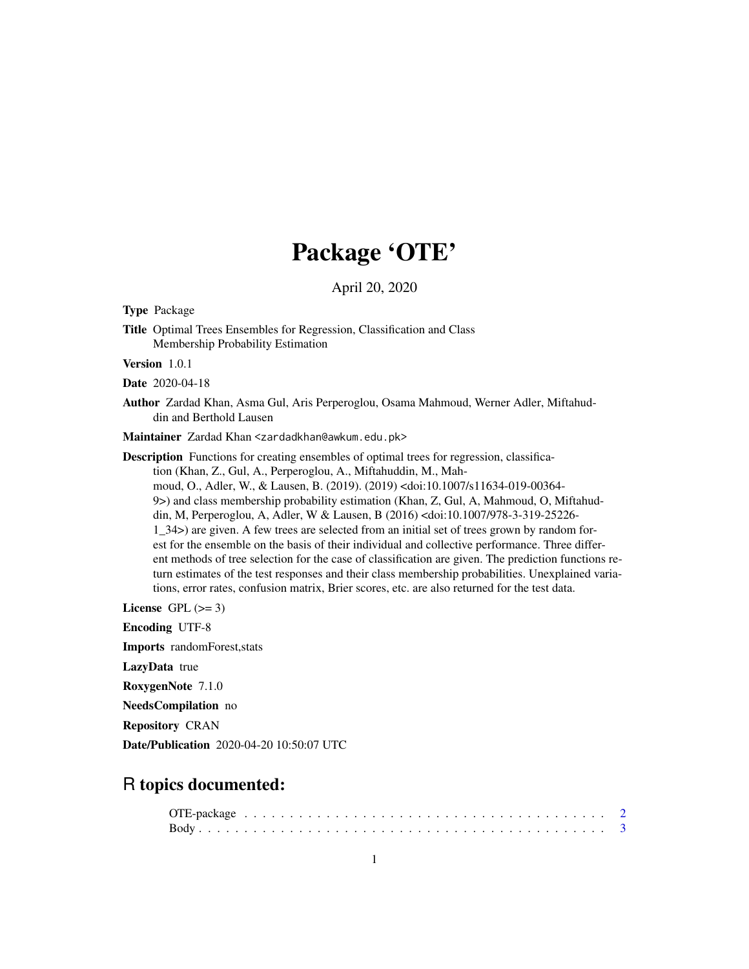# Package 'OTE'

April 20, 2020

Type Package

Title Optimal Trees Ensembles for Regression, Classification and Class Membership Probability Estimation

Version 1.0.1

Date 2020-04-18

Author Zardad Khan, Asma Gul, Aris Perperoglou, Osama Mahmoud, Werner Adler, Miftahuddin and Berthold Lausen

Maintainer Zardad Khan <zardadkhan@awkum.edu.pk>

Description Functions for creating ensembles of optimal trees for regression, classification (Khan, Z., Gul, A., Perperoglou, A., Miftahuddin, M., Mahmoud, O., Adler, W., & Lausen, B. (2019). (2019) <doi:10.1007/s11634-019-00364- 9>) and class membership probability estimation (Khan, Z, Gul, A, Mahmoud, O, Miftahuddin, M, Perperoglou, A, Adler, W & Lausen, B (2016) <doi:10.1007/978-3-319-25226- 1\_34>) are given. A few trees are selected from an initial set of trees grown by random forest for the ensemble on the basis of their individual and collective performance. Three different methods of tree selection for the case of classification are given. The prediction functions return estimates of the test responses and their class membership probabilities. Unexplained variations, error rates, confusion matrix, Brier scores, etc. are also returned for the test data.

License GPL  $(>= 3)$ 

Encoding UTF-8

Imports randomForest,stats

LazyData true

RoxygenNote 7.1.0

NeedsCompilation no

Repository CRAN

Date/Publication 2020-04-20 10:50:07 UTC

# R topics documented: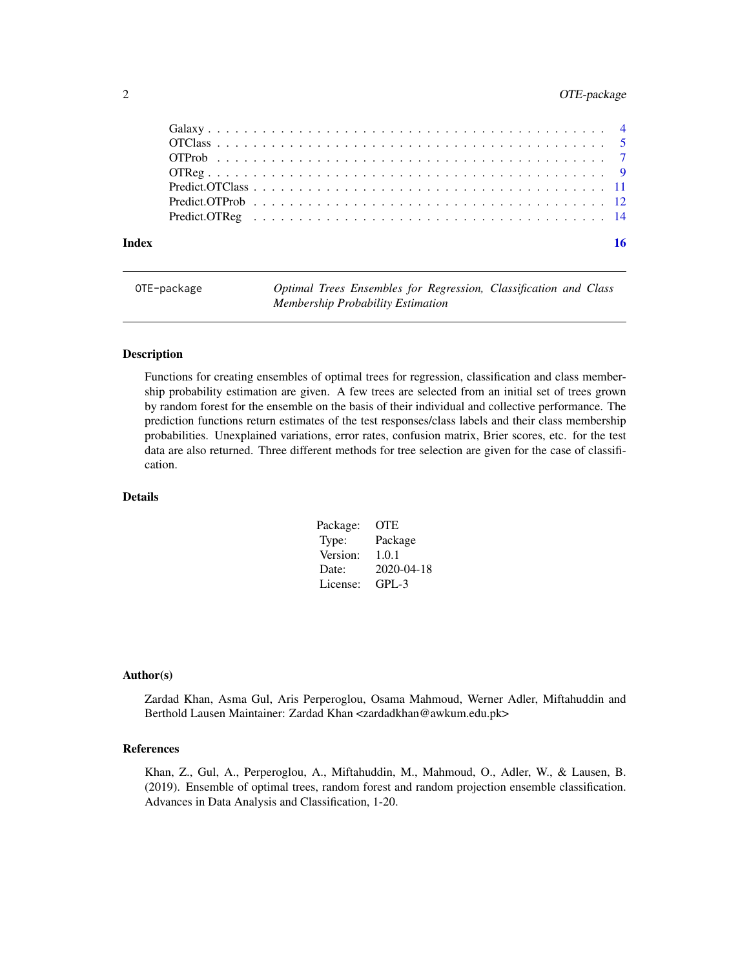# <span id="page-1-0"></span>2 OTE-package

| Index |  | 16 |
|-------|--|----|
|       |  |    |
|       |  |    |
|       |  |    |
|       |  |    |
|       |  |    |
|       |  |    |
|       |  |    |
|       |  |    |

OTE-package *Optimal Trees Ensembles for Regression, Classification and Class Membership Probability Estimation*

### Description

Functions for creating ensembles of optimal trees for regression, classification and class membership probability estimation are given. A few trees are selected from an initial set of trees grown by random forest for the ensemble on the basis of their individual and collective performance. The prediction functions return estimates of the test responses/class labels and their class membership probabilities. Unexplained variations, error rates, confusion matrix, Brier scores, etc. for the test data are also returned. Three different methods for tree selection are given for the case of classification.

# Details

| OTE.       |
|------------|
| Package    |
| 1.0.1      |
| 2020-04-18 |
| $GPL-3$    |
|            |

#### Author(s)

Zardad Khan, Asma Gul, Aris Perperoglou, Osama Mahmoud, Werner Adler, Miftahuddin and Berthold Lausen Maintainer: Zardad Khan <zardadkhan@awkum.edu.pk>

#### References

Khan, Z., Gul, A., Perperoglou, A., Miftahuddin, M., Mahmoud, O., Adler, W., & Lausen, B. (2019). Ensemble of optimal trees, random forest and random projection ensemble classification. Advances in Data Analysis and Classification, 1-20.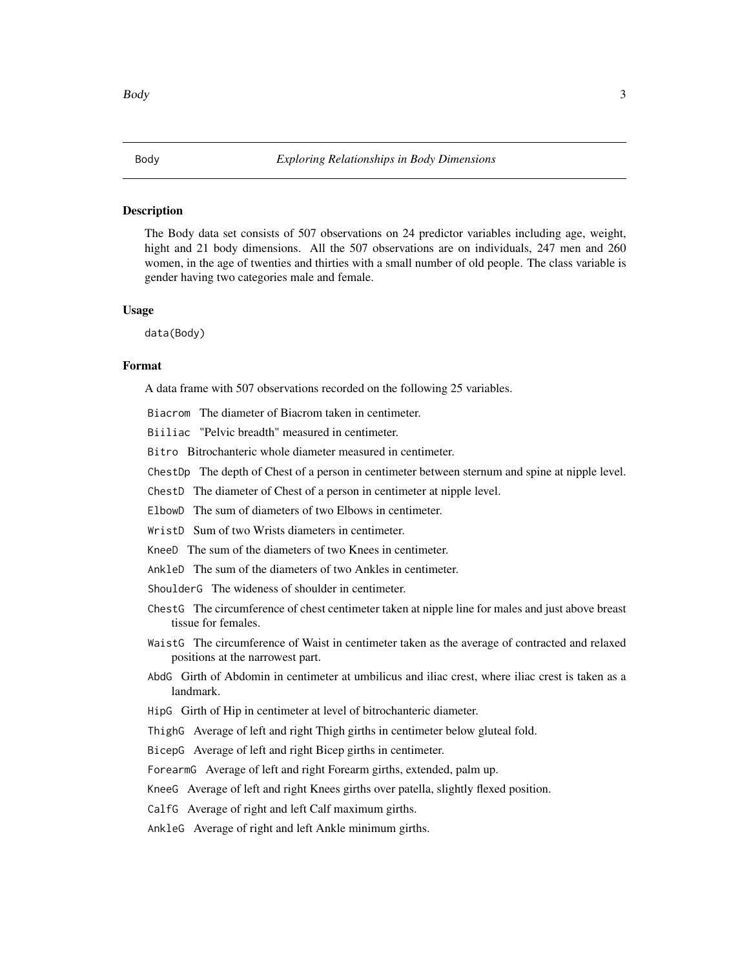#### <span id="page-2-0"></span>Description

The Body data set consists of 507 observations on 24 predictor variables including age, weight, hight and 21 body dimensions. All the 507 observations are on individuals, 247 men and 260 women, in the age of twenties and thirties with a small number of old people. The class variable is gender having two categories male and female.

#### Usage

data(Body)

#### Format

A data frame with 507 observations recorded on the following 25 variables.

Biacrom The diameter of Biacrom taken in centimeter.

Biiliac "Pelvic breadth" measured in centimeter.

Bitro Bitrochanteric whole diameter measured in centimeter.

ChestDp The depth of Chest of a person in centimeter between sternum and spine at nipple level.

ChestD The diameter of Chest of a person in centimeter at nipple level.

ElbowD The sum of diameters of two Elbows in centimeter.

WristD Sum of two Wrists diameters in centimeter.

KneeD The sum of the diameters of two Knees in centimeter.

AnkleD The sum of the diameters of two Ankles in centimeter.

ShoulderG The wideness of shoulder in centimeter.

ChestG The circumference of chest centimeter taken at nipple line for males and just above breast tissue for females.

WaistG The circumference of Waist in centimeter taken as the average of contracted and relaxed positions at the narrowest part.

AbdG Girth of Abdomin in centimeter at umbilicus and iliac crest, where iliac crest is taken as a landmark.

HipG Girth of Hip in centimeter at level of bitrochanteric diameter.

ThighG Average of left and right Thigh girths in centimeter below gluteal fold.

BicepG Average of left and right Bicep girths in centimeter.

ForearmG Average of left and right Forearm girths, extended, palm up.

KneeG Average of left and right Knees girths over patella, slightly flexed position.

CalfG Average of right and left Calf maximum girths.

AnkleG Average of right and left Ankle minimum girths.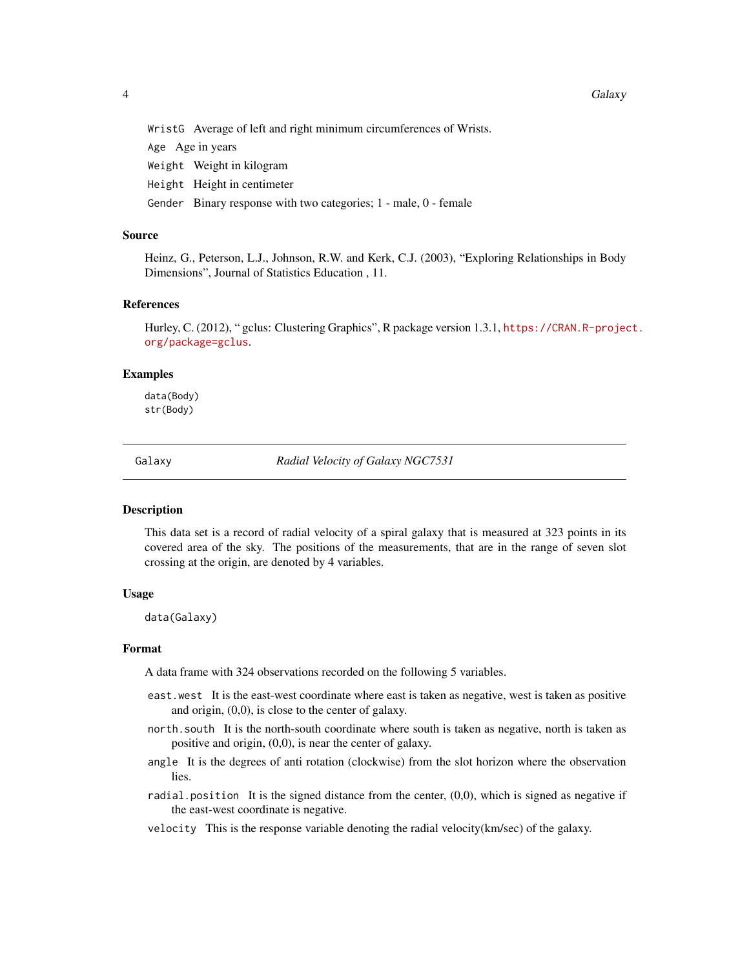<span id="page-3-0"></span>WristG Average of left and right minimum circumferences of Wrists.

Age Age in years

Weight Weight in kilogram

Height Height in centimeter

Gender Binary response with two categories; 1 - male, 0 - female

## Source

Heinz, G., Peterson, L.J., Johnson, R.W. and Kerk, C.J. (2003), "Exploring Relationships in Body Dimensions", Journal of Statistics Education , 11.

# References

Hurley, C. (2012), " gclus: Clustering Graphics", R package version 1.3.1, [https://CRAN.R-projec](https://CRAN.R-project.org/package=gclus)t. [org/package=gclus](https://CRAN.R-project.org/package=gclus).

#### Examples

data(Body) str(Body)

Galaxy *Radial Velocity of Galaxy NGC7531*

#### **Description**

This data set is a record of radial velocity of a spiral galaxy that is measured at 323 points in its covered area of the sky. The positions of the measurements, that are in the range of seven slot crossing at the origin, are denoted by 4 variables.

#### Usage

data(Galaxy)

#### Format

A data frame with 324 observations recorded on the following 5 variables.

- east.west It is the east-west coordinate where east is taken as negative, west is taken as positive and origin, (0,0), is close to the center of galaxy.
- north.south It is the north-south coordinate where south is taken as negative, north is taken as positive and origin, (0,0), is near the center of galaxy.
- angle It is the degrees of anti rotation (clockwise) from the slot horizon where the observation lies.
- radial.position It is the signed distance from the center,  $(0,0)$ , which is signed as negative if the east-west coordinate is negative.
- velocity This is the response variable denoting the radial velocity(km/sec) of the galaxy.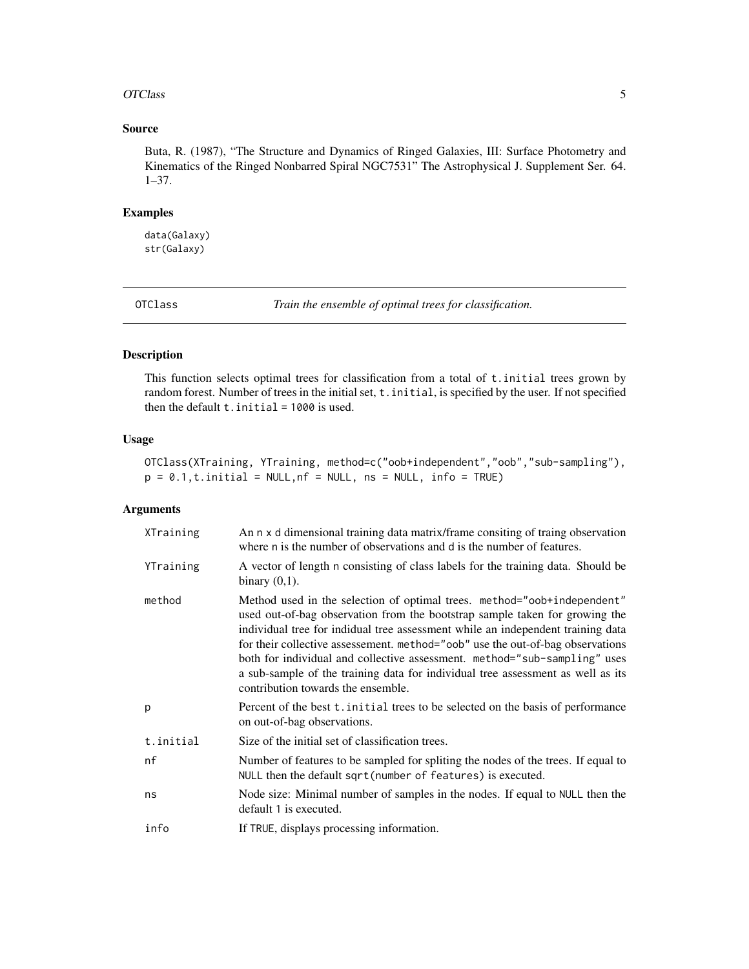#### <span id="page-4-0"></span>OTClass 5

# Source

Buta, R. (1987), "The Structure and Dynamics of Ringed Galaxies, III: Surface Photometry and Kinematics of the Ringed Nonbarred Spiral NGC7531" The Astrophysical J. Supplement Ser. 64. 1–37.

#### Examples

data(Galaxy) str(Galaxy)

<span id="page-4-1"></span>OTClass *Train the ensemble of optimal trees for classification.*

# Description

This function selects optimal trees for classification from a total of t.initial trees grown by random forest. Number of trees in the initial set, t. initial, is specified by the user. If not specified then the default  $t$ . initial = 1000 is used.

# Usage

OTClass(XTraining, YTraining, method=c("oob+independent","oob","sub-sampling"),  $p = 0.1, t.initial = NULL, nf = NULL, ns = NULL, info = TRUE)$ 

# Arguments

| XTraining | An n x d dimensional training data matrix/frame consiting of traing observation<br>where n is the number of observations and d is the number of features.                                                                                                                                                                                                                                                                                                                                                                         |
|-----------|-----------------------------------------------------------------------------------------------------------------------------------------------------------------------------------------------------------------------------------------------------------------------------------------------------------------------------------------------------------------------------------------------------------------------------------------------------------------------------------------------------------------------------------|
| YTraining | A vector of length n consisting of class labels for the training data. Should be<br>binary $(0,1)$ .                                                                                                                                                                                                                                                                                                                                                                                                                              |
| method    | Method used in the selection of optimal trees. method="oob+independent"<br>used out-of-bag observation from the bootstrap sample taken for growing the<br>individual tree for indidual tree assessment while an independent training data<br>for their collective assessement. method="oob" use the out-of-bag observations<br>both for individual and collective assessment. method="sub-sampling" uses<br>a sub-sample of the training data for individual tree assessment as well as its<br>contribution towards the ensemble. |
| p         | Percent of the best t. initial trees to be selected on the basis of performance<br>on out-of-bag observations.                                                                                                                                                                                                                                                                                                                                                                                                                    |
| t.initial | Size of the initial set of classification trees.                                                                                                                                                                                                                                                                                                                                                                                                                                                                                  |
| nf        | Number of features to be sampled for spliting the nodes of the trees. If equal to<br>NULL then the default sqrt(number of features) is executed.                                                                                                                                                                                                                                                                                                                                                                                  |
| ns        | Node size: Minimal number of samples in the nodes. If equal to NULL then the<br>default 1 is executed.                                                                                                                                                                                                                                                                                                                                                                                                                            |
| info      | If TRUE, displays processing information.                                                                                                                                                                                                                                                                                                                                                                                                                                                                                         |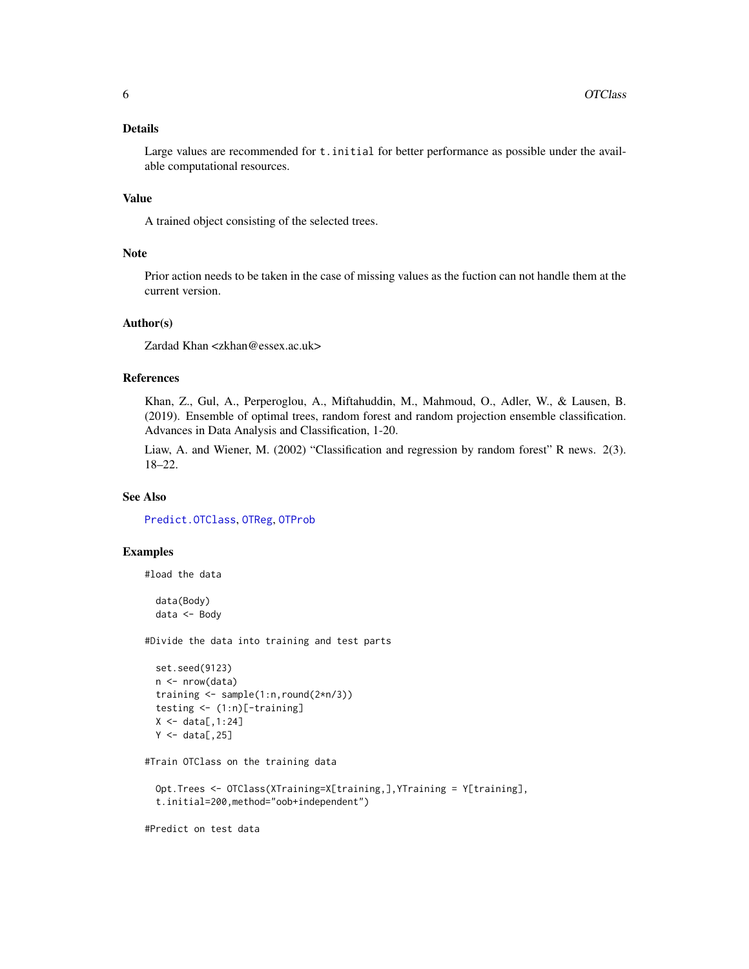# <span id="page-5-0"></span>Details

Large values are recommended for t.initial for better performance as possible under the available computational resources.

#### Value

A trained object consisting of the selected trees.

#### Note

Prior action needs to be taken in the case of missing values as the fuction can not handle them at the current version.

# Author(s)

Zardad Khan <zkhan@essex.ac.uk>

# References

Khan, Z., Gul, A., Perperoglou, A., Miftahuddin, M., Mahmoud, O., Adler, W., & Lausen, B. (2019). Ensemble of optimal trees, random forest and random projection ensemble classification. Advances in Data Analysis and Classification, 1-20.

Liaw, A. and Wiener, M. (2002) "Classification and regression by random forest" R news. 2(3). 18–22.

#### See Also

[Predict.OTClass](#page-10-1), [OTReg](#page-8-1), [OTProb](#page-6-1)

#### Examples

#load the data

data(Body) data <- Body

#Divide the data into training and test parts

```
set.seed(9123)
n <- nrow(data)
training <- sample(1:n,round(2*n/3))
testing <- (1:n)[-training]
X \leftarrow data[, 1:24]Y \leftarrow data[, 25]
```
#Train OTClass on the training data

```
Opt.Trees <- OTClass(XTraining=X[training,],YTraining = Y[training],
t.initial=200,method="oob+independent")
```
#Predict on test data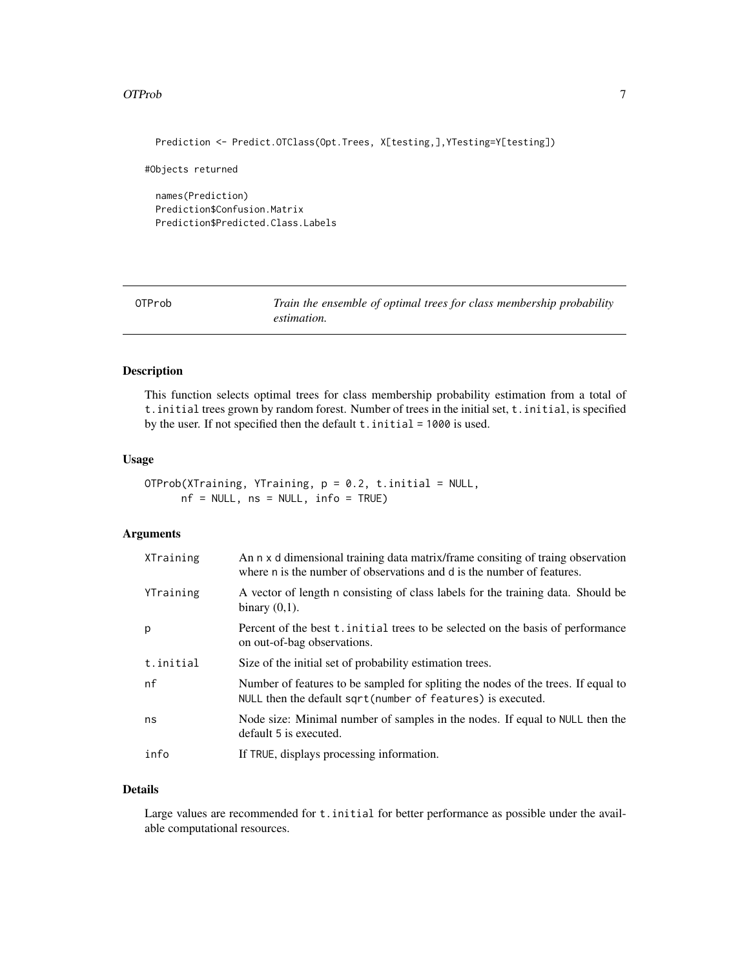## <span id="page-6-0"></span>OTProb 7

Prediction <- Predict.OTClass(Opt.Trees, X[testing,],YTesting=Y[testing])

#Objects returned

names(Prediction) Prediction\$Confusion.Matrix Prediction\$Predicted.Class.Labels

<span id="page-6-1"></span>OTProb *Train the ensemble of optimal trees for class membership probability estimation.*

# Description

This function selects optimal trees for class membership probability estimation from a total of t.initial trees grown by random forest. Number of trees in the initial set, t.initial, is specified by the user. If not specified then the default t.initial = 1000 is used.

#### Usage

OTProb(XTraining, YTraining,  $p = 0.2$ , t.initial = NULL, nf = NULL, ns = NULL, info = TRUE)

#### Arguments

| XTraining | An n x d dimensional training data matrix/frame consiting of traing observation<br>where n is the number of observations and d is the number of features. |
|-----------|-----------------------------------------------------------------------------------------------------------------------------------------------------------|
| YTraining | A vector of length n consisting of class labels for the training data. Should be<br>binary $(0,1)$ .                                                      |
| p         | Percent of the best t. initial trees to be selected on the basis of performance<br>on out-of-bag observations.                                            |
| t.initial | Size of the initial set of probability estimation trees.                                                                                                  |
| nf        | Number of features to be sampled for spliting the nodes of the trees. If equal to<br>NULL then the default sqrt(number of features) is executed.          |
| ns        | Node size: Minimal number of samples in the nodes. If equal to NULL then the<br>default 5 is executed.                                                    |
| info      | If TRUE, displays processing information.                                                                                                                 |

# Details

Large values are recommended for t. initial for better performance as possible under the available computational resources.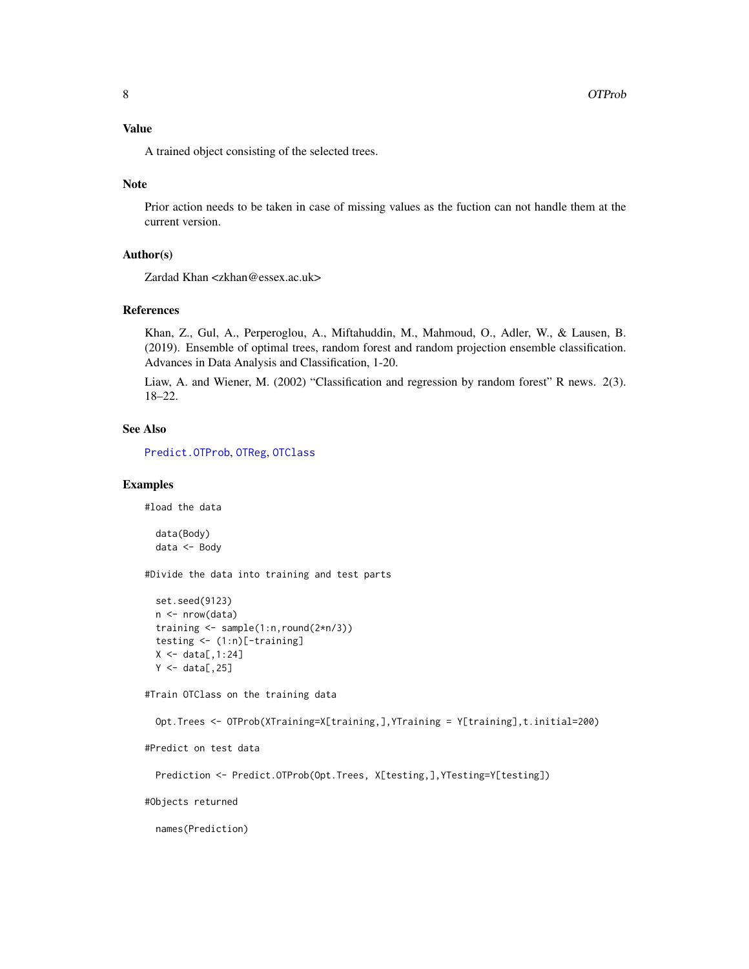# <span id="page-7-0"></span>Value

A trained object consisting of the selected trees.

#### Note

Prior action needs to be taken in case of missing values as the fuction can not handle them at the current version.

#### Author(s)

Zardad Khan <zkhan@essex.ac.uk>

#### References

Khan, Z., Gul, A., Perperoglou, A., Miftahuddin, M., Mahmoud, O., Adler, W., & Lausen, B. (2019). Ensemble of optimal trees, random forest and random projection ensemble classification. Advances in Data Analysis and Classification, 1-20.

Liaw, A. and Wiener, M. (2002) "Classification and regression by random forest" R news. 2(3). 18–22.

#### See Also

[Predict.OTProb](#page-11-1), [OTReg](#page-8-1), [OTClass](#page-4-1)

# Examples

#load the data

```
data(Body)
data <- Body
```
#Divide the data into training and test parts

```
set.seed(9123)
n <- nrow(data)
training <- sample(1:n,round(2*n/3))
testing <- (1:n)[-training]
X \leftarrow \text{data}[, 1:24]Y \leftarrow data[, 25]
```
#Train OTClass on the training data

```
Opt.Trees <- OTProb(XTraining=X[training,],YTraining = Y[training],t.initial=200)
```

```
#Predict on test data
```

```
Prediction <- Predict.OTProb(Opt.Trees, X[testing,],YTesting=Y[testing])
```
#Objects returned

names(Prediction)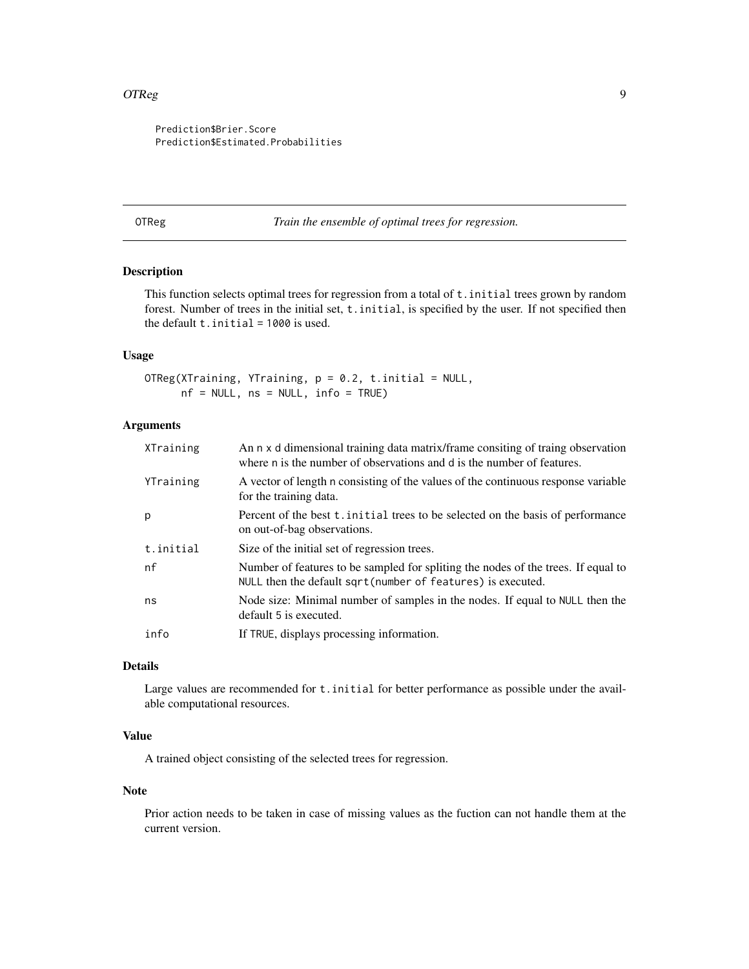#### <span id="page-8-0"></span>OTReg 99

Prediction\$Brier.Score Prediction\$Estimated.Probabilities

<span id="page-8-1"></span>OTReg *Train the ensemble of optimal trees for regression.*

# Description

This function selects optimal trees for regression from a total of t.initial trees grown by random forest. Number of trees in the initial set, t.initial, is specified by the user. If not specified then the default  $t$ . initial = 1000 is used.

# Usage

OTReg(XTraining, YTraining,  $p = 0.2$ , t.initial = NULL, nf = NULL, ns = NULL, info = TRUE)

## Arguments

| XTraining | An n x d dimensional training data matrix/frame consiting of traing observation<br>where n is the number of observations and d is the number of features. |
|-----------|-----------------------------------------------------------------------------------------------------------------------------------------------------------|
| YTraining | A vector of length n consisting of the values of the continuous response variable<br>for the training data.                                               |
| p         | Percent of the best t. initial trees to be selected on the basis of performance<br>on out-of-bag observations.                                            |
| t.initial | Size of the initial set of regression trees.                                                                                                              |
| nf        | Number of features to be sampled for spliting the nodes of the trees. If equal to<br>NULL then the default sqrt(number of features) is executed.          |
| ns        | Node size: Minimal number of samples in the nodes. If equal to NULL then the<br>default 5 is executed.                                                    |
| info      | If TRUE, displays processing information.                                                                                                                 |
|           |                                                                                                                                                           |

## Details

Large values are recommended for  $t$ . initial for better performance as possible under the available computational resources.

# Value

A trained object consisting of the selected trees for regression.

#### Note

Prior action needs to be taken in case of missing values as the fuction can not handle them at the current version.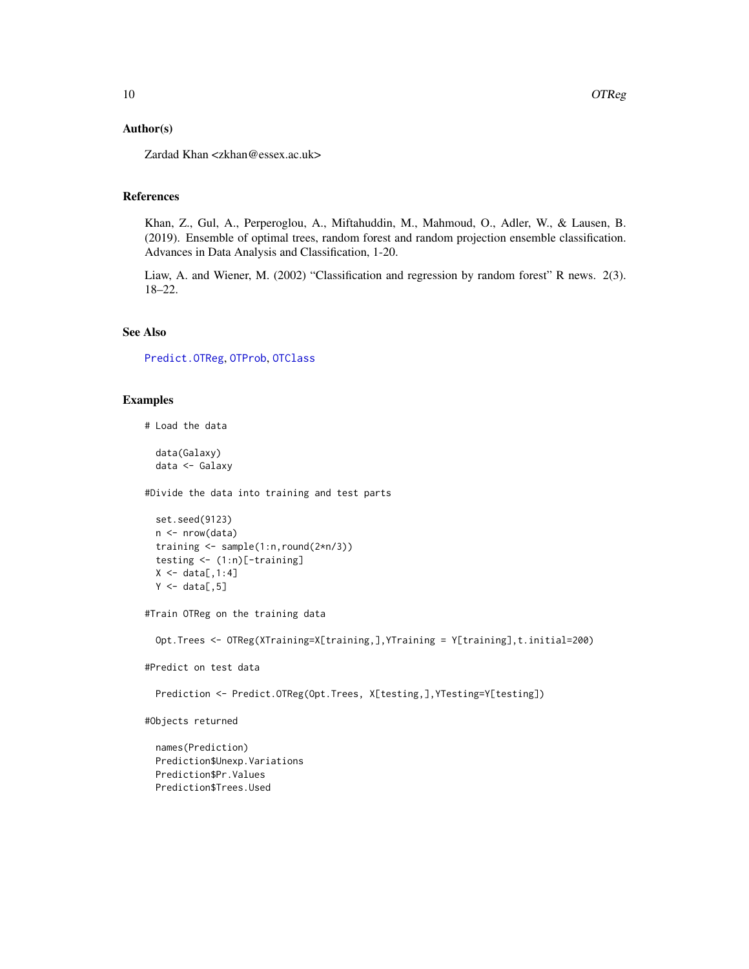#### <span id="page-9-0"></span>Author(s)

Zardad Khan <zkhan@essex.ac.uk>

#### References

Khan, Z., Gul, A., Perperoglou, A., Miftahuddin, M., Mahmoud, O., Adler, W., & Lausen, B. (2019). Ensemble of optimal trees, random forest and random projection ensemble classification. Advances in Data Analysis and Classification, 1-20.

Liaw, A. and Wiener, M. (2002) "Classification and regression by random forest" R news. 2(3). 18–22.

# See Also

[Predict.OTReg](#page-13-1), [OTProb](#page-6-1), [OTClass](#page-4-1)

#### Examples

# Load the data

data(Galaxy) data <- Galaxy

#Divide the data into training and test parts

```
set.seed(9123)
n <- nrow(data)
training <- sample(1:n,round(2*n/3))
testing <- (1:n)[-training]
X \leftarrow data[, 1:4]Y \leftarrow data[, 5]
```
#Train OTReg on the training data

Opt.Trees <- OTReg(XTraining=X[training,],YTraining = Y[training],t.initial=200)

#Predict on test data

Prediction <- Predict.OTReg(Opt.Trees, X[testing,],YTesting=Y[testing])

#Objects returned

names(Prediction) Prediction\$Unexp.Variations Prediction\$Pr.Values Prediction\$Trees.Used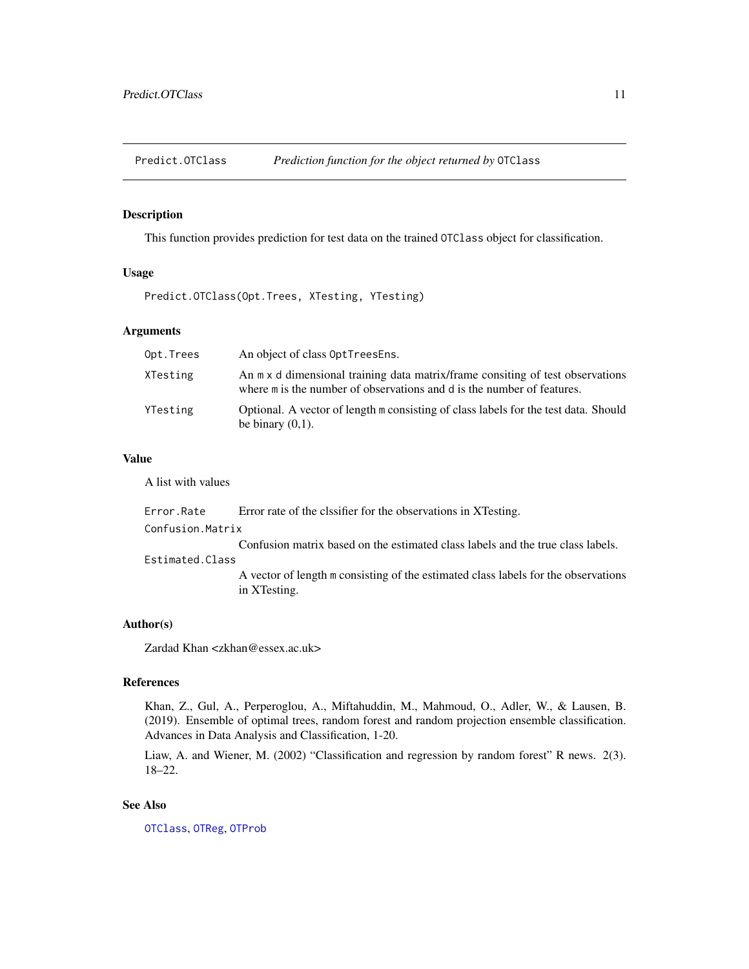<span id="page-10-1"></span><span id="page-10-0"></span>Predict.OTClass *Prediction function for the object returned by* OTClass

# Description

This function provides prediction for test data on the trained OTClass object for classification.

# Usage

Predict.OTClass(Opt.Trees, XTesting, YTesting)

# Arguments

| Opt.Trees | An object of class OptTreesEns.                                                                                                                          |
|-----------|----------------------------------------------------------------------------------------------------------------------------------------------------------|
| XTesting  | An m x d dimensional training data matrix/frame consiting of test observations<br>where m is the number of observations and d is the number of features. |
| YTesting  | Optional. A vector of length m consisting of class labels for the test data. Should<br>be binary $(0,1)$ .                                               |

# Value

A list with values

| Error.Rate       | Error rate of the clssifier for the observations in XTesting.                                      |
|------------------|----------------------------------------------------------------------------------------------------|
| Confusion.Matrix |                                                                                                    |
|                  | Confusion matrix based on the estimated class labels and the true class labels.                    |
| Estimated.Class  |                                                                                                    |
|                  | A vector of length m consisting of the estimated class labels for the observations<br>in XTesting. |

# Author(s)

Zardad Khan <zkhan@essex.ac.uk>

# References

Khan, Z., Gul, A., Perperoglou, A., Miftahuddin, M., Mahmoud, O., Adler, W., & Lausen, B. (2019). Ensemble of optimal trees, random forest and random projection ensemble classification. Advances in Data Analysis and Classification, 1-20.

Liaw, A. and Wiener, M. (2002) "Classification and regression by random forest" R news. 2(3). 18–22.

# See Also

[OTClass](#page-4-1), [OTReg](#page-8-1), [OTProb](#page-6-1)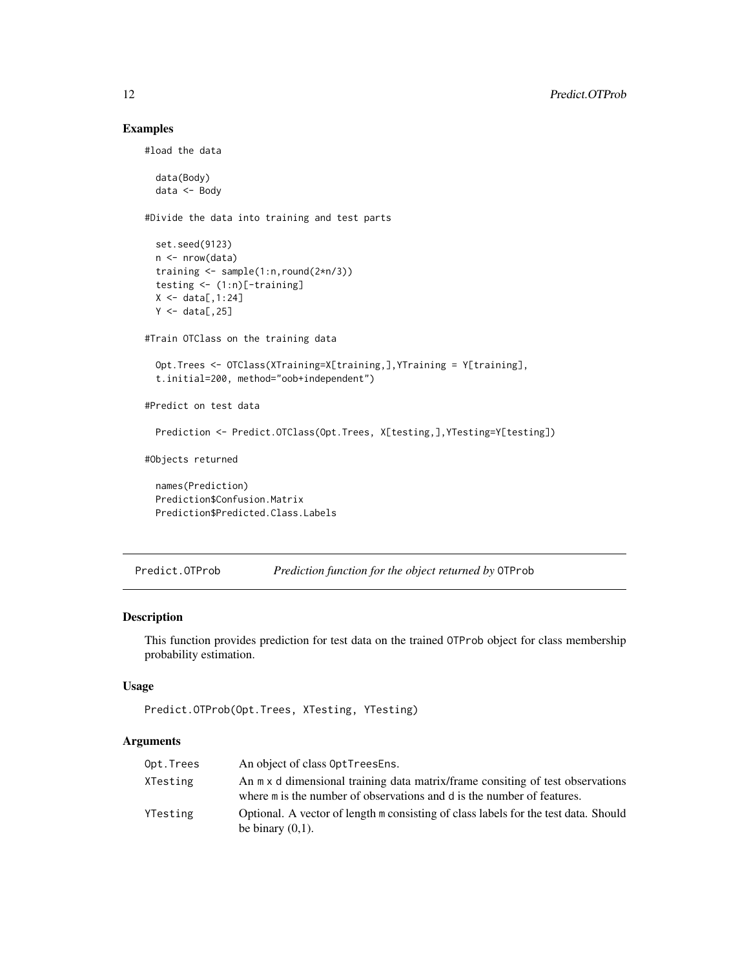# Examples

```
#load the data
 data(Body)
 data <- Body
#Divide the data into training and test parts
 set.seed(9123)
 n <- nrow(data)
 training <- sample(1:n,round(2*n/3))
 testing <- (1:n)[-training]
 X \leftarrow data[, 1:24]Y \leftarrow data[, 25]#Train OTClass on the training data
 Opt.Trees <- OTClass(XTraining=X[training,],YTraining = Y[training],
 t.initial=200, method="oob+independent")
#Predict on test data
 Prediction <- Predict.OTClass(Opt.Trees, X[testing,],YTesting=Y[testing])
#Objects returned
 names(Prediction)
 Prediction$Confusion.Matrix
 Prediction$Predicted.Class.Labels
```
<span id="page-11-1"></span>Predict.OTProb *Prediction function for the object returned by* OTProb

#### Description

This function provides prediction for test data on the trained OTProb object for class membership probability estimation.

# Usage

```
Predict.OTProb(Opt.Trees, XTesting, YTesting)
```
## Arguments

| Opt.Trees | An object of class OptTreesEns.                                                                                                                          |
|-----------|----------------------------------------------------------------------------------------------------------------------------------------------------------|
| XTesting  | An m x d dimensional training data matrix/frame consiting of test observations<br>where m is the number of observations and d is the number of features. |
| YTesting  | Optional. A vector of length m consisting of class labels for the test data. Should<br>be binary $(0,1)$ .                                               |

<span id="page-11-0"></span>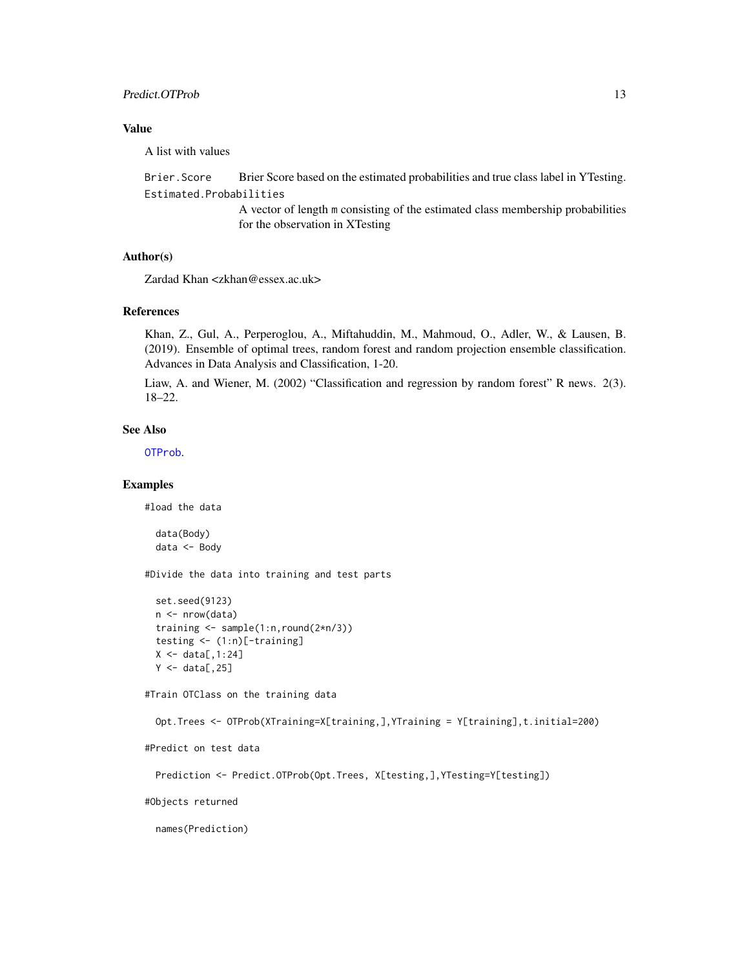# <span id="page-12-0"></span>Predict.OTProb 13

# Value

A list with values

Brier.Score Brier Score based on the estimated probabilities and true class label in YTesting. Estimated.Probabilities

> A vector of length m consisting of the estimated class membership probabilities for the observation in XTesting

# Author(s)

Zardad Khan <zkhan@essex.ac.uk>

# References

Khan, Z., Gul, A., Perperoglou, A., Miftahuddin, M., Mahmoud, O., Adler, W., & Lausen, B. (2019). Ensemble of optimal trees, random forest and random projection ensemble classification. Advances in Data Analysis and Classification, 1-20.

Liaw, A. and Wiener, M. (2002) "Classification and regression by random forest" R news. 2(3). 18–22.

# See Also

[OTProb](#page-6-1).

# Examples

#load the data

```
data(Body)
data <- Body
```
#Divide the data into training and test parts

```
set.seed(9123)
n <- nrow(data)
training <- sample(1:n,round(2*n/3))
testing <- (1:n)[-training]
X \leftarrow \text{data}[, 1:24]Y \leftarrow data[, 25]
```
#Train OTClass on the training data

```
Opt.Trees <- OTProb(XTraining=X[training,],YTraining = Y[training],t.initial=200)
```

```
#Predict on test data
```

```
Prediction <- Predict.OTProb(Opt.Trees, X[testing,],YTesting=Y[testing])
```
#Objects returned

names(Prediction)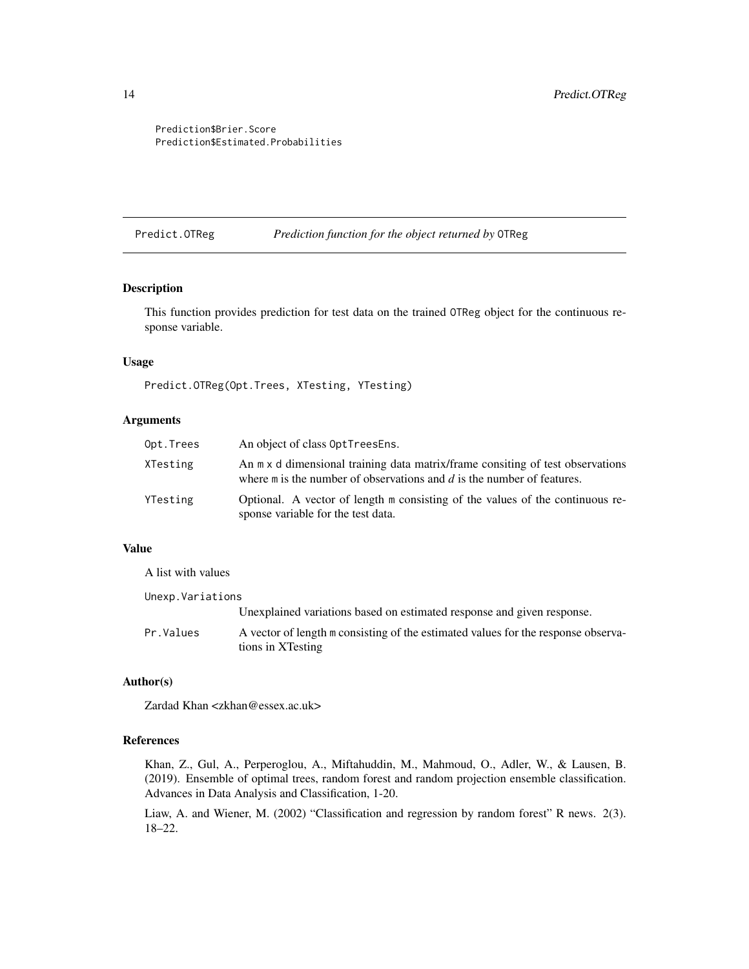<span id="page-13-0"></span>Prediction\$Brier.Score Prediction\$Estimated.Probabilities

<span id="page-13-1"></span>Predict.OTReg *Prediction function for the object returned by* OTReg

# Description

This function provides prediction for test data on the trained OTReg object for the continuous response variable.

### Usage

Predict.OTReg(Opt.Trees, XTesting, YTesting)

#### Arguments

| Opt.Trees | An object of class OptTreesEns.                                                                                                                              |
|-----------|--------------------------------------------------------------------------------------------------------------------------------------------------------------|
| XTesting  | An m x d dimensional training data matrix/frame consiting of test observations<br>where $m$ is the number of observations and $d$ is the number of features. |
| YTesting  | Optional. A vector of length m consisting of the values of the continuous re-<br>sponse variable for the test data.                                          |

# Value

| A list with values |                                                                                                        |
|--------------------|--------------------------------------------------------------------------------------------------------|
| Unexp. Variations  |                                                                                                        |
|                    | Unexplained variations based on estimated response and given response.                                 |
| Pr.Values          | A vector of length m consisting of the estimated values for the response observa-<br>tions in XTesting |

## Author(s)

Zardad Khan <zkhan@essex.ac.uk>

#### References

Khan, Z., Gul, A., Perperoglou, A., Miftahuddin, M., Mahmoud, O., Adler, W., & Lausen, B. (2019). Ensemble of optimal trees, random forest and random projection ensemble classification. Advances in Data Analysis and Classification, 1-20.

Liaw, A. and Wiener, M. (2002) "Classification and regression by random forest" R news. 2(3). 18–22.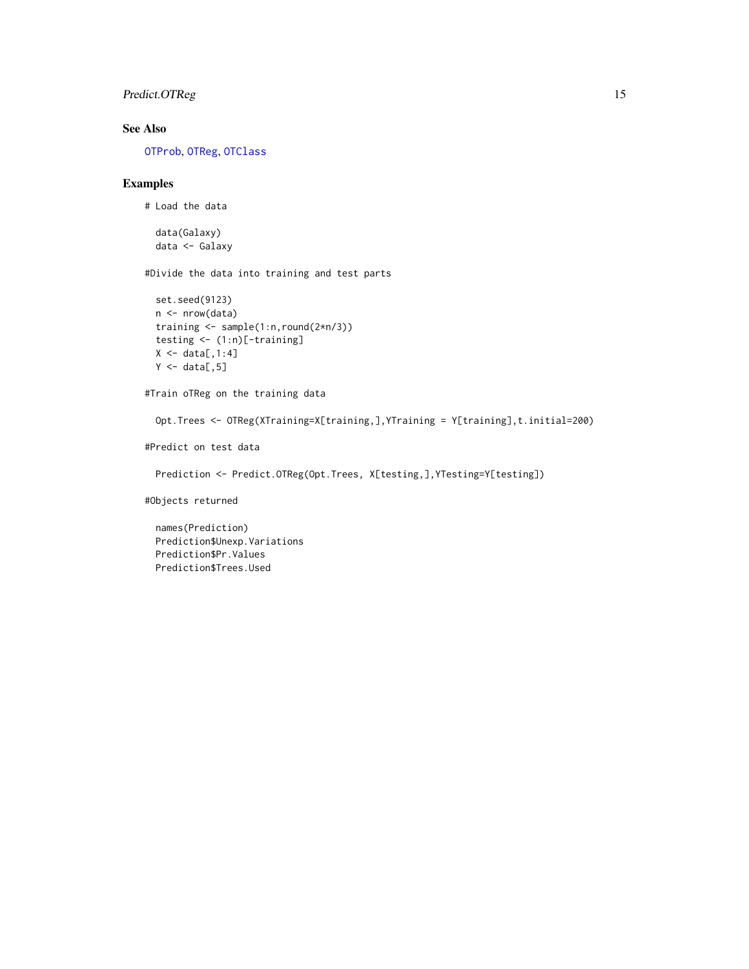# <span id="page-14-0"></span>Predict.OTReg 15

# See Also

[OTProb](#page-6-1), [OTReg](#page-8-1), [OTClass](#page-4-1)

# Examples

```
# Load the data
```
data(Galaxy) data <- Galaxy

#Divide the data into training and test parts

```
set.seed(9123)
n <- nrow(data)
training <- sample(1:n,round(2*n/3))
testing <- (1:n)[-training]
X \leftarrow data[, 1:4]Y \leftarrow data[, 5]
```
#Train oTReg on the training data

Opt.Trees <- OTReg(XTraining=X[training,],YTraining = Y[training],t.initial=200)

#Predict on test data

Prediction <- Predict.OTReg(Opt.Trees, X[testing,],YTesting=Y[testing])

#Objects returned

names(Prediction) Prediction\$Unexp.Variations Prediction\$Pr.Values Prediction\$Trees.Used